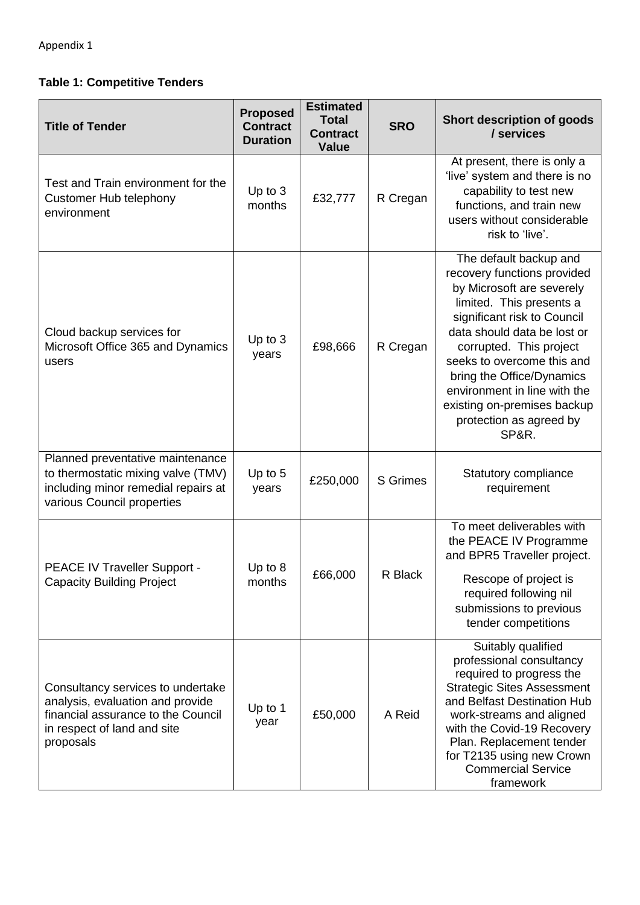## **Table 1: Competitive Tenders**

| <b>Title of Tender</b>                                                                                                                                  | <b>Proposed</b><br><b>Contract</b><br><b>Duration</b> | <b>Estimated</b><br><b>Total</b><br><b>Contract</b><br><b>Value</b> | <b>SRO</b>      | Short description of goods<br>/ services                                                                                                                                                                                                                                                                                                                              |
|---------------------------------------------------------------------------------------------------------------------------------------------------------|-------------------------------------------------------|---------------------------------------------------------------------|-----------------|-----------------------------------------------------------------------------------------------------------------------------------------------------------------------------------------------------------------------------------------------------------------------------------------------------------------------------------------------------------------------|
| Test and Train environment for the<br>Customer Hub telephony<br>environment                                                                             | Up to 3<br>months                                     | £32,777                                                             | R Cregan        | At present, there is only a<br>'live' system and there is no<br>capability to test new<br>functions, and train new<br>users without considerable<br>risk to 'live'.                                                                                                                                                                                                   |
| Cloud backup services for<br>Microsoft Office 365 and Dynamics<br>users                                                                                 | Up to $3$<br>years                                    | £98,666                                                             | R Cregan        | The default backup and<br>recovery functions provided<br>by Microsoft are severely<br>limited. This presents a<br>significant risk to Council<br>data should data be lost or<br>corrupted. This project<br>seeks to overcome this and<br>bring the Office/Dynamics<br>environment in line with the<br>existing on-premises backup<br>protection as agreed by<br>SP&R. |
| Planned preventative maintenance<br>to thermostatic mixing valve (TMV)<br>including minor remedial repairs at<br>various Council properties             | Up to 5<br>years                                      | £250,000                                                            | <b>S</b> Grimes | Statutory compliance<br>requirement                                                                                                                                                                                                                                                                                                                                   |
| PEACE IV Traveller Support -<br><b>Capacity Building Project</b>                                                                                        | Up to 8<br>months                                     | £66,000                                                             | R Black         | To meet deliverables with<br>the PEACE IV Programme<br>and BPR5 Traveller project.<br>Rescope of project is<br>required following nil<br>submissions to previous<br>tender competitions                                                                                                                                                                               |
| Consultancy services to undertake<br>analysis, evaluation and provide<br>financial assurance to the Council<br>in respect of land and site<br>proposals | Up to 1<br>year                                       | £50,000                                                             | A Reid          | Suitably qualified<br>professional consultancy<br>required to progress the<br><b>Strategic Sites Assessment</b><br>and Belfast Destination Hub<br>work-streams and aligned<br>with the Covid-19 Recovery<br>Plan. Replacement tender<br>for T2135 using new Crown<br><b>Commercial Service</b><br>framework                                                           |